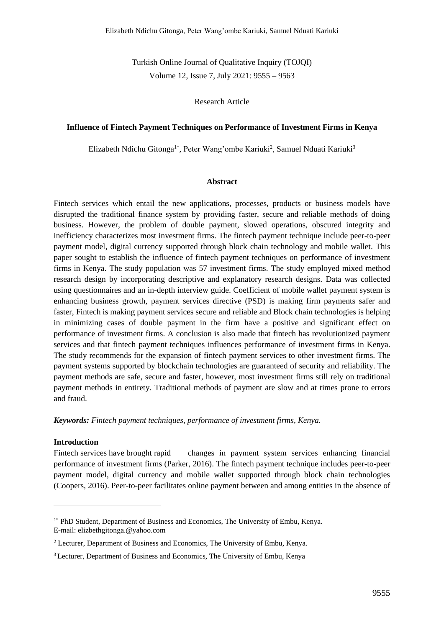Turkish Online Journal of Qualitative Inquiry (TOJQI) Volume 12, Issue 7, July 2021: 9555 – 9563

### Research Article

### **Influence of Fintech Payment Techniques on Performance of Investment Firms in Kenya**

Elizabeth Ndichu Gitonga<sup>1\*</sup>, Peter Wang'ombe Kariuki<sup>2</sup>, Samuel Nduati Kariuki<sup>3</sup>

#### **Abstract**

Fintech services which entail the new applications, processes, products or business models have disrupted the traditional finance system by providing faster, secure and reliable methods of doing business. However, the problem of double payment, slowed operations, obscured integrity and inefficiency characterizes most investment firms. The fintech payment technique include peer-to-peer payment model, digital currency supported through block chain technology and mobile wallet. This paper sought to establish the influence of fintech payment techniques on performance of investment firms in Kenya. The study population was 57 investment firms. The study employed mixed method research design by incorporating descriptive and explanatory research designs. Data was collected using questionnaires and an in-depth interview guide. Coefficient of mobile wallet payment system is enhancing business growth, payment services directive (PSD) is making firm payments safer and faster, Fintech is making payment services secure and reliable and Block chain technologies is helping in minimizing cases of double payment in the firm have a positive and significant effect on performance of investment firms. A conclusion is also made that fintech has revolutionized payment services and that fintech payment techniques influences performance of investment firms in Kenya. The study recommends for the expansion of fintech payment services to other investment firms. The payment systems supported by blockchain technologies are guaranteed of security and reliability. The payment methods are safe, secure and faster, however, most investment firms still rely on traditional payment methods in entirety. Traditional methods of payment are slow and at times prone to errors and fraud.

*Keywords: Fintech payment techniques, performance of investment firms, Kenya.*

#### **Introduction**

Fintech services have brought rapid changes in payment system services enhancing financial performance of investment firms (Parker, 2016). The fintech payment technique includes peer-to-peer payment model, digital currency and mobile wallet supported through block chain technologies (Coopers, 2016). Peer-to-peer facilitates online payment between and among entities in the absence of

<sup>&</sup>lt;sup>1\*</sup> PhD Student, Department of Business and Economics, The University of Embu, Kenya. E-mail: elizbethgitonga.@yahoo.com

<sup>&</sup>lt;sup>2</sup> Lecturer, Department of Business and Economics, The University of Embu, Kenya.

<sup>3</sup> Lecturer, Department of Business and Economics, The University of Embu, Kenya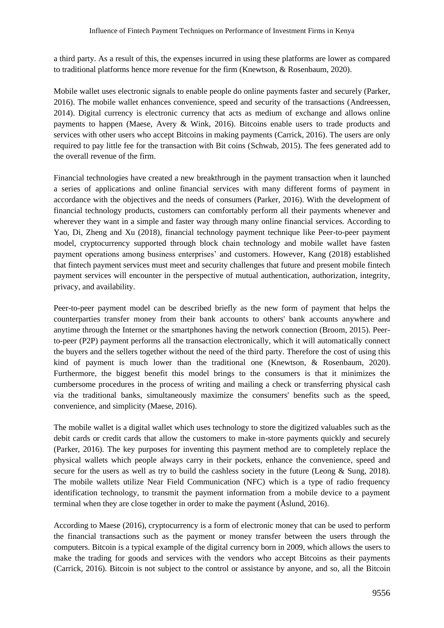a third party. As a result of this, the expenses incurred in using these platforms are lower as compared to traditional platforms hence more revenue for the firm (Knewtson, & Rosenbaum, 2020).

Mobile wallet uses electronic signals to enable people do online payments faster and securely (Parker, 2016). The mobile wallet enhances convenience, speed and security of the transactions (Andreessen, 2014). Digital currency is electronic currency that acts as medium of exchange and allows online payments to happen (Maese, Avery & Wink, 2016). Bitcoins enable users to trade products and services with other users who accept Bitcoins in making payments (Carrick, 2016). The users are only required to pay little fee for the transaction with Bit coins (Schwab, 2015). The fees generated add to the overall revenue of the firm.

Financial technologies have created a new breakthrough in the payment transaction when it launched a series of applications and online financial services with many different forms of payment in accordance with the objectives and the needs of consumers (Parker, 2016). With the development of financial technology products, customers can comfortably perform all their payments whenever and wherever they want in a simple and faster way through many online financial services. According to Yao, Di, Zheng and Xu (2018), financial technology payment technique like Peer-to-peer payment model, cryptocurrency supported through block chain technology and mobile wallet have fasten payment operations among business enterprises' and customers. However, Kang (2018) established that fintech payment services must meet and security challenges that future and present mobile fintech payment services will encounter in the perspective of mutual authentication, authorization, integrity, privacy, and availability.

Peer-to-peer payment model can be described briefly as the new form of payment that helps the counterparties transfer money from their bank accounts to others' bank accounts anywhere and anytime through the Internet or the smartphones having the network connection (Broom, 2015). Peerto-peer (P2P) payment performs all the transaction electronically, which it will automatically connect the buyers and the sellers together without the need of the third party. Therefore the cost of using this kind of payment is much lower than the traditional one (Knewtson, & Rosenbaum, 2020). Furthermore, the biggest benefit this model brings to the consumers is that it minimizes the cumbersome procedures in the process of writing and mailing a check or transferring physical cash via the traditional banks, simultaneously maximize the consumers' benefits such as the speed, convenience, and simplicity (Maese, 2016).

The mobile wallet is a digital wallet which uses technology to store the digitized valuables such as the debit cards or credit cards that allow the customers to make in-store payments quickly and securely (Parker, 2016). The key purposes for inventing this payment method are to completely replace the physical wallets which people always carry in their pockets, enhance the convenience, speed and secure for the users as well as try to build the cashless society in the future (Leong & Sung, 2018). The mobile wallets utilize Near Field Communication (NFC) which is a type of radio frequency identification technology, to transmit the payment information from a mobile device to a payment terminal when they are close together in order to make the payment (Åslund, 2016).

According to Maese (2016), cryptocurrency is a form of electronic money that can be used to perform the financial transactions such as the payment or money transfer between the users through the computers. Bitcoin is a typical example of the digital currency born in 2009, which allows the users to make the trading for goods and services with the vendors who accept Bitcoins as their payments (Carrick, 2016). Bitcoin is not subject to the control or assistance by anyone, and so, all the Bitcoin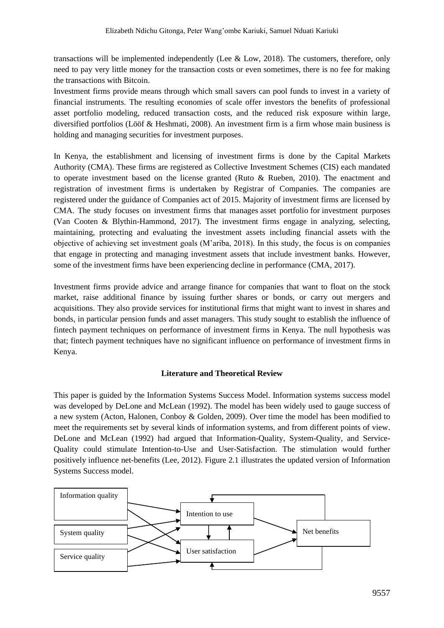transactions will be implemented independently (Lee & Low, 2018). The customers, therefore, only need to pay very little money for the transaction costs or even sometimes, there is no fee for making the transactions with Bitcoin.

Investment firms provide means through which small savers can pool funds to invest in a variety of financial instruments. The resulting economies of scale offer investors the benefits of professional asset portfolio modeling, reduced transaction costs, and the reduced risk exposure within large, diversified portfolios (Lööf & Heshmati, 2008). An investment firm is a firm whose main business is holding and managing [securities](https://en.wikipedia.org/wiki/Security_(finance)) for [investment](https://en.wikipedia.org/wiki/Investment) purposes.

In Kenya, the establishment and licensing of investment firms is done by the Capital Markets Authority (CMA). These firms are registered as Collective Investment Schemes (CIS) each mandated to operate investment based on the license granted (Ruto & Rueben, 2010). The enactment and registration of investment firms is undertaken by Registrar of Companies. The companies are registered under the guidance of Companies act of 2015. Majority of investment firms are licensed by CMA. The study focuses on investment firms that manages asset portfolio for [investment](https://en.wikipedia.org/wiki/Investment) purposes (Van Cooten & Blythin-Hammond, 2017). The investment firms engage in analyzing, selecting, maintaining, protecting and evaluating the investment assets including financial assets with the objective of achieving set investment goals (M'ariba, 2018). In this study, the focus is on companies that engage in protecting and managing investment assets that include investment banks. However, some of the investment firms have been experiencing decline in performance (CMA, 2017).

Investment firms provide advice and arrange finance for companies that want to float on the stock market, raise additional finance by issuing further shares or bonds, or carry out mergers and acquisitions. They also provide services for institutional firms that might want to invest in shares and bonds, in particular pension funds and asset managers. This study sought to establish the influence of fintech payment techniques on performance of investment firms in Kenya. The null hypothesis was that; fintech payment techniques have no significant influence on performance of investment firms in Kenya.

# **Literature and Theoretical Review**

This paper is guided by the Information Systems Success Model. Information systems success model was developed by DeLone and McLean (1992). The model has been widely used to gauge success of a new system (Acton, Halonen, Conboy & Golden, 2009). Over time the model has been modified to meet the requirements set by several kinds of information systems, and from different points of view. DeLone and McLean (1992) had argued that Information-Quality, System-Quality, and Service-Quality could stimulate Intention-to-Use and User-Satisfaction. The stimulation would further positively influence net-benefits (Lee, 2012). Figure 2.1 illustrates the updated version of Information Systems Success model.

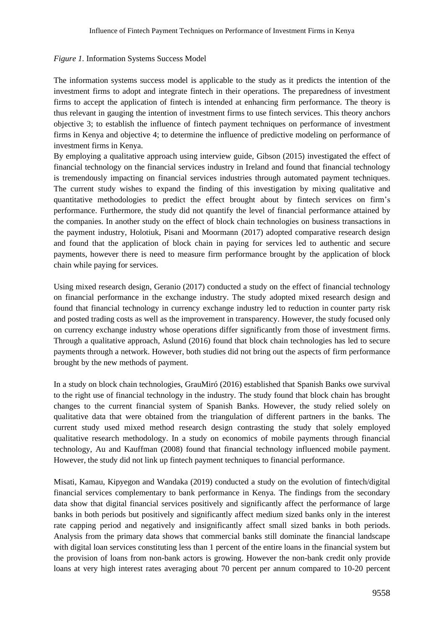### *Figure 1.* Information Systems Success Model

The information systems success model is applicable to the study as it predicts the intention of the investment firms to adopt and integrate fintech in their operations. The preparedness of investment firms to accept the application of fintech is intended at enhancing firm performance. The theory is thus relevant in gauging the intention of investment firms to use fintech services. This theory anchors objective 3; to establish the influence of fintech payment techniques on performance of investment firms in Kenya and objective 4; to determine the influence of predictive modeling on performance of investment firms in Kenya.

By employing a qualitative approach using interview guide, Gibson (2015) investigated the effect of financial technology on the financial services industry in Ireland and found that financial technology is tremendously impacting on financial services industries through automated payment techniques. The current study wishes to expand the finding of this investigation by mixing qualitative and quantitative methodologies to predict the effect brought about by fintech services on firm's performance. Furthermore, the study did not quantify the level of financial performance attained by the companies. In another study on the effect of block chain technologies on business transactions in the payment industry, Holotiuk, Pisani and Moormann (2017) adopted comparative research design and found that the application of block chain in paying for services led to authentic and secure payments, however there is need to measure firm performance brought by the application of block chain while paying for services.

Using mixed research design, Geranio (2017) conducted a study on the effect of financial technology on financial performance in the exchange industry. The study adopted mixed research design and found that financial technology in currency exchange industry led to reduction in counter party risk and posted trading costs as well as the improvement in transparency. However, the study focused only on currency exchange industry whose operations differ significantly from those of investment firms. Through a qualitative approach, Aslund (2016) found that block chain technologies has led to secure payments through a network. However, both studies did not bring out the aspects of firm performance brought by the new methods of payment.

In a study on block chain technologies, GrauMiró (2016) established that Spanish Banks owe survival to the right use of financial technology in the industry. The study found that block chain has brought changes to the current financial system of Spanish Banks. However, the study relied solely on qualitative data that were obtained from the triangulation of different partners in the banks. The current study used mixed method research design contrasting the study that solely employed qualitative research methodology. In a study on economics of mobile payments through financial technology, Au and Kauffman (2008) found that financial technology influenced mobile payment. However, the study did not link up fintech payment techniques to financial performance.

Misati, Kamau, Kipyegon and Wandaka (2019) conducted a study on the evolution of fintech/digital financial services complementary to bank performance in Kenya. The findings from the secondary data show that digital financial services positively and significantly affect the performance of large banks in both periods but positively and significantly affect medium sized banks only in the interest rate capping period and negatively and insignificantly affect small sized banks in both periods. Analysis from the primary data shows that commercial banks still dominate the financial landscape with digital loan services constituting less than 1 percent of the entire loans in the financial system but the provision of loans from non-bank actors is growing. However the non-bank credit only provide loans at very high interest rates averaging about 70 percent per annum compared to 10-20 percent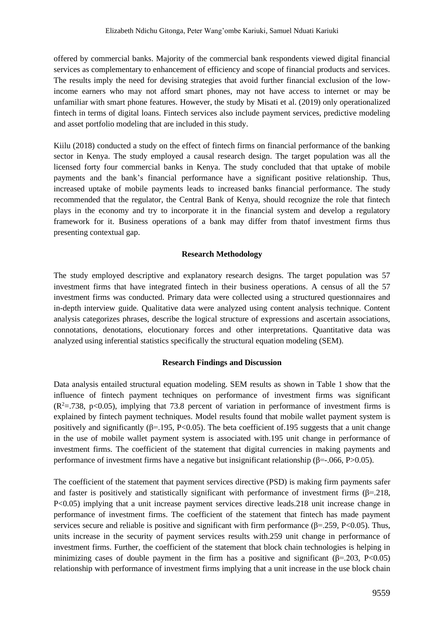offered by commercial banks. Majority of the commercial bank respondents viewed digital financial services as complementary to enhancement of efficiency and scope of financial products and services. The results imply the need for devising strategies that avoid further financial exclusion of the lowincome earners who may not afford smart phones, may not have access to internet or may be unfamiliar with smart phone features. However, the study by Misati et al. (2019) only operationalized fintech in terms of digital loans. Fintech services also include payment services, predictive modeling and asset portfolio modeling that are included in this study.

Kiilu (2018) conducted a study on the effect of fintech firms on financial performance of the banking sector in Kenya. The study employed a causal research design. The target population was all the licensed forty four commercial banks in Kenya. The study concluded that that uptake of mobile payments and the bank's financial performance have a significant positive relationship. Thus, increased uptake of mobile payments leads to increased banks financial performance. The study recommended that the regulator, the Central Bank of Kenya, should recognize the role that fintech plays in the economy and try to incorporate it in the financial system and develop a regulatory framework for it. Business operations of a bank may differ from thatof investment firms thus presenting contextual gap.

#### **Research Methodology**

The study employed descriptive and explanatory research designs. The target population was 57 investment firms that have integrated fintech in their business operations. A census of all the 57 investment firms was conducted. Primary data were collected using a structured questionnaires and in-depth interview guide. Qualitative data were analyzed using content analysis technique. Content analysis categorizes phrases, describe the logical structure of expressions and ascertain associations, connotations, denotations, elocutionary forces and other interpretations. Quantitative data was analyzed using inferential statistics specifically the structural equation modeling (SEM).

### **Research Findings and Discussion**

Data analysis entailed structural equation modeling. SEM results as shown in Table 1 show that the influence of fintech payment techniques on performance of investment firms was significant  $(R^2 = 738, p < 0.05)$ , implying that 73.8 percent of variation in performance of investment firms is explained by fintech payment techniques. Model results found that mobile wallet payment system is positively and significantly ( $β=195$ , P<0.05). The beta coefficient of.195 suggests that a unit change in the use of mobile wallet payment system is associated with.195 unit change in performance of investment firms. The coefficient of the statement that digital currencies in making payments and performance of investment firms have a negative but insignificant relationship ( $\beta$ =-.066, P>0.05).

The coefficient of the statement that payment services directive (PSD) is making firm payments safer and faster is positively and statistically significant with performance of investment firms  $(\beta = 218,$ P<0.05) implying that a unit increase payment services directive leads.218 unit increase change in performance of investment firms. The coefficient of the statement that fintech has made payment services secure and reliable is positive and significant with firm performance ( $\beta$ =.259, P<0.05). Thus, units increase in the security of payment services results with.259 unit change in performance of investment firms. Further, the coefficient of the statement that block chain technologies is helping in minimizing cases of double payment in the firm has a positive and significant  $(\beta = 203, \text{ P} < 0.05)$ relationship with performance of investment firms implying that a unit increase in the use block chain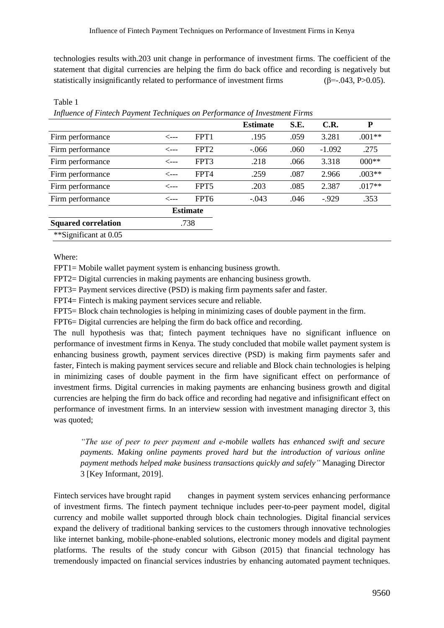technologies results with.203 unit change in performance of investment firms. The coefficient of the statement that digital currencies are helping the firm do back office and recording is negatively but statistically insignificantly related to performance of investment firms  $(\beta = .043, P > 0.05)$ .

|                            | $\ldots$ , $\ldots$ . $\ldots$ . $\ldots$ . $\ldots$ . $\ldots$ . $\ldots$ . $\ldots$ . $\ldots$ . $\ldots$ . $\ldots$ . $\ldots$ . $\ldots$ |                  |                 |      |          |          |  |
|----------------------------|----------------------------------------------------------------------------------------------------------------------------------------------|------------------|-----------------|------|----------|----------|--|
|                            |                                                                                                                                              |                  | <b>Estimate</b> | S.E. | C.R.     | P        |  |
| Firm performance           | <---                                                                                                                                         | FPT <sub>1</sub> | .195            | .059 | 3.281    | $.001**$ |  |
| Firm performance           | <---                                                                                                                                         | FPT <sub>2</sub> | $-.066$         | .060 | $-1.092$ | .275     |  |
| Firm performance           | $\leftarrow$ ---                                                                                                                             | FPT3             | .218            | .066 | 3.318    | $000**$  |  |
| Firm performance           | <---                                                                                                                                         | FPT4             | .259            | .087 | 2.966    | $.003**$ |  |
| Firm performance           | <---                                                                                                                                         | FPT <sub>5</sub> | .203            | .085 | 2.387    | $.017**$ |  |
| Firm performance           | <---                                                                                                                                         | FPT6             | $-.043$         | .046 | $-0.929$ | .353     |  |
|                            |                                                                                                                                              | <b>Estimate</b>  |                 |      |          |          |  |
| <b>Squared correlation</b> | .738                                                                                                                                         |                  |                 |      |          |          |  |
| **Significant at 0.05      |                                                                                                                                              |                  |                 |      |          |          |  |

# *Influence of Fintech Payment Techniques on Performance of Investment Firms*

Where:

Table 1

FPT1= Mobile wallet payment system is enhancing business growth.

FPT2= Digital currencies in making payments are enhancing business growth.

FPT3= Payment services directive (PSD) is making firm payments safer and faster.

FPT4= Fintech is making payment services secure and reliable.

FPT5= Block chain technologies is helping in minimizing cases of double payment in the firm.

FPT6= Digital currencies are helping the firm do back office and recording.

The null hypothesis was that; fintech payment techniques have no significant influence on performance of investment firms in Kenya. The study concluded that mobile wallet payment system is enhancing business growth, payment services directive (PSD) is making firm payments safer and faster, Fintech is making payment services secure and reliable and Block chain technologies is helping in minimizing cases of double payment in the firm have significant effect on performance of investment firms. Digital currencies in making payments are enhancing business growth and digital currencies are helping the firm do back office and recording had negative and infisignificant effect on performance of investment firms. In an interview session with investment managing director 3, this was quoted;

*"The use of peer to peer payment and e-mobile wallets has enhanced swift and secure payments. Making online payments proved hard but the introduction of various online payment methods helped make business transactions quickly and safely"* Managing Director 3 [Key Informant, 2019].

Fintech services have brought rapid changes in payment system services enhancing performance of investment firms. The fintech payment technique includes peer-to-peer payment model, digital currency and mobile wallet supported through block chain technologies. Digital financial services expand the delivery of traditional banking services to the customers through innovative technologies like internet banking, mobile-phone-enabled solutions, electronic money models and digital payment platforms. The results of the study concur with Gibson (2015) that financial technology has tremendously impacted on financial services industries by enhancing automated payment techniques.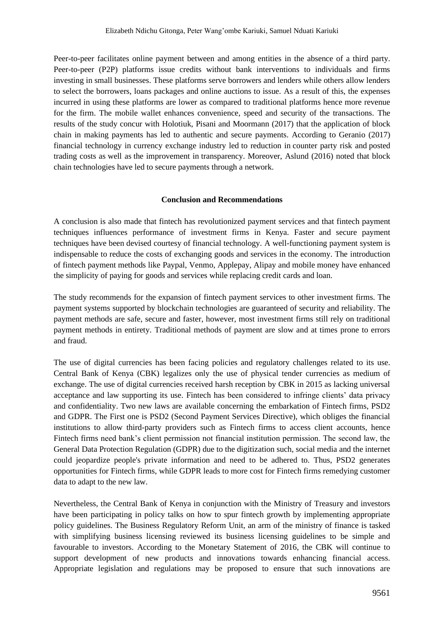Peer-to-peer facilitates online payment between and among entities in the absence of a third party. Peer-to-peer (P2P) platforms issue credits without bank interventions to individuals and firms investing in small businesses. These platforms serve borrowers and lenders while others allow lenders to select the borrowers, loans packages and online auctions to issue. As a result of this, the expenses incurred in using these platforms are lower as compared to traditional platforms hence more revenue for the firm. The mobile wallet enhances convenience, speed and security of the transactions. The results of the study concur with Holotiuk, Pisani and Moormann (2017) that the application of block chain in making payments has led to authentic and secure payments. According to Geranio (2017) financial technology in currency exchange industry led to reduction in counter party risk and posted trading costs as well as the improvement in transparency. Moreover, Aslund (2016) noted that block chain technologies have led to secure payments through a network.

## **Conclusion and Recommendations**

A conclusion is also made that fintech has revolutionized payment services and that fintech payment techniques influences performance of investment firms in Kenya. Faster and secure payment techniques have been devised courtesy of financial technology. A well-functioning payment system is indispensable to reduce the costs of exchanging goods and services in the economy. The introduction of fintech payment methods like Paypal, Venmo, Applepay, Alipay and mobile money have enhanced the simplicity of paying for goods and services while replacing credit cards and loan.

The study recommends for the expansion of fintech payment services to other investment firms. The payment systems supported by blockchain technologies are guaranteed of security and reliability. The payment methods are safe, secure and faster, however, most investment firms still rely on traditional payment methods in entirety. Traditional methods of payment are slow and at times prone to errors and fraud.

The use of digital currencies has been facing policies and regulatory challenges related to its use. Central Bank of Kenya (CBK) legalizes only the use of physical tender currencies as medium of exchange. The use of digital currencies received harsh reception by CBK in 2015 as lacking universal acceptance and law supporting its use. Fintech has been considered to infringe clients' data privacy and confidentiality. Two new laws are available concerning the embarkation of Fintech firms, PSD2 and GDPR. The First one is PSD2 (Second Payment Services Directive), which obliges the financial institutions to allow third-party providers such as Fintech firms to access client accounts, hence Fintech firms need bank's client permission not financial institution permission. The second law, the General Data Protection Regulation (GDPR) due to the digitization such, social media and the internet could jeopardize people's private information and need to be adhered to. Thus, PSD2 generates opportunities for Fintech firms, while GDPR leads to more cost for Fintech firms remedying customer data to adapt to the new law.

Nevertheless, the Central Bank of Kenya in conjunction with the Ministry of Treasury and investors have been participating in policy talks on how to spur fintech growth by implementing appropriate policy guidelines. The Business Regulatory Reform Unit, an arm of the ministry of finance is tasked with simplifying business licensing reviewed its business licensing guidelines to be simple and favourable to investors. According to the Monetary Statement of 2016, the CBK will continue to support development of new products and innovations towards enhancing financial access. Appropriate legislation and regulations may be proposed to ensure that such innovations are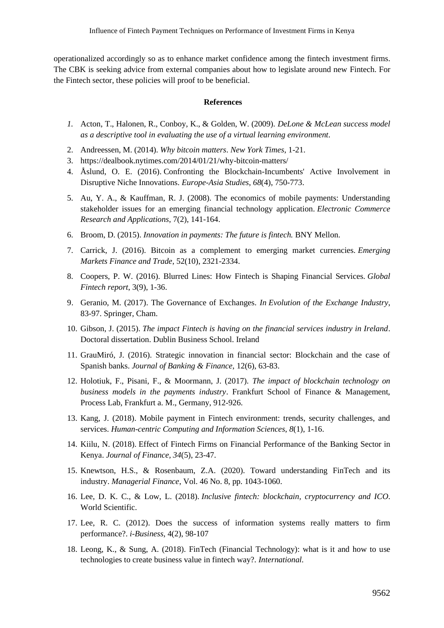operationalized accordingly so as to enhance market confidence among the fintech investment firms. The CBK is seeking advice from external companies about how to legislate around new Fintech. For the Fintech sector, these policies will proof to be beneficial.

#### **References**

- *1.* Acton, T., Halonen, R., Conboy, K., & Golden, W. (2009). *DeLone & McLean success model as a descriptive tool in evaluating the use of a virtual learning environment.*
- 2. Andreessen, M. (2014). *Why bitcoin matters*. *New York Times*, 1-21.
- 3. https://dealbook.nytimes.com/2014/01/21/why-bitcoin-matters/
- 4. Åslund, O. E. (2016). Confronting the Blockchain-Incumbents' Active Involvement in Disruptive Niche Innovations. *Europe-Asia Studies*, *68*(4), 750-773.
- 5. Au, Y. A., & Kauffman, R. J. (2008). The economics of mobile payments: Understanding stakeholder issues for an emerging financial technology application. *Electronic Commerce Research and Applications*, 7(2), 141-164.
- 6. Broom, D. (2015). *Innovation in payments: The future is fintech.* BNY Mellon.
- 7. Carrick, J. (2016). Bitcoin as a complement to emerging market currencies. *Emerging Markets Finance and Trade*, 52(10), 2321-2334.
- 8. Coopers, P. W. (2016). Blurred Lines: How Fintech is Shaping Financial Services. *Global Fintech report*, 3(9), 1-36.
- 9. Geranio, M. (2017). The Governance of Exchanges. *In Evolution of the Exchange Industry*, 83-97. Springer, Cham.
- 10. Gibson, J. (2015). *The impact Fintech is having on the financial services industry in Ireland*. Doctoral dissertation. Dublin Business School. Ireland
- 11. GrauMiró, J. (2016). Strategic innovation in financial sector: Blockchain and the case of Spanish banks. *Journal of Banking & Finance*, 12(6), 63-83.
- 12. Holotiuk, F., Pisani, F., & Moormann, J. (2017). *The impact of blockchain technology on business models in the payments industry*. Frankfurt School of Finance & Management, Process Lab, Frankfurt a. M., Germany, 912-926.
- 13. Kang, J. (2018). Mobile payment in Fintech environment: trends, security challenges, and services. *Human-centric Computing and Information Sciences*, *8*(1), 1-16.
- 14. Kiilu, N. (2018). Effect of Fintech Firms on Financial Performance of the Banking Sector in Kenya. *Journal of Finance, 34*(5), 23-47.
- 15. Knewtson, H.S., & Rosenbaum, Z.A. (2020). Toward understanding FinTech and its industry. *Managerial Finance*, Vol. 46 No. 8, pp. 1043-1060.
- 16. Lee, D. K. C., & Low, L. (2018). *Inclusive fintech: blockchain, cryptocurrency and ICO*. World Scientific.
- 17. Lee, R. C. (2012). Does the success of information systems really matters to firm performance?. *i-Business*, 4(2), 98-107
- 18. Leong, K., & Sung, A. (2018). FinTech (Financial Technology): what is it and how to use technologies to create business value in fintech way?. *International.*